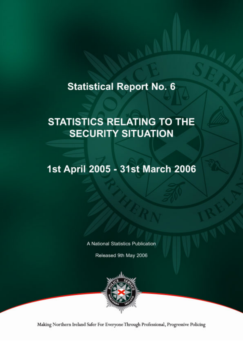# **Statistical Report No. 6**

# **STATISTICS RELATING TO THE SECURITY SITUATION**

# 1st April 2005 - 31st March 2006

A National Statistics Publication

Released 9th May 2006



Making Northern Ireland Safer For Everyone Through Professional, Progressive Policing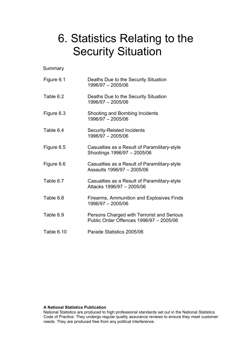# 6. Statistics Relating to the Security Situation

**Summary** 

| Figure 6.1 | Deaths Due to the Security Situation<br>1996/97 - 2005/06                             |
|------------|---------------------------------------------------------------------------------------|
| Table 6.2  | Deaths Due to the Security Situation<br>1996/97 - 2005/06                             |
| Figure 6.3 | Shooting and Bombing Incidents<br>1996/97 - 2005/06                                   |
| Table 6.4  | <b>Security-Related Incidents</b><br>1996/97 - 2005/06                                |
| Figure 6.5 | Casualties as a Result of Paramilitary-style<br>Shootings 1996/97 - 2005/06           |
| Figure 6.6 | Casualties as a Result of Paramilitary-style<br>Assaults 1996/97 - 2005/06            |
| Table 6.7  | Casualties as a Result of Paramilitary-style<br>Attacks 1996/97 - 2005/06             |
| Table 6.8  | Firearms, Ammunition and Explosives Finds<br>1996/97 - 2005/06                        |
| Table 6.9  | Persons Charged with Terrorist and Serious<br>Public Order Offences 1996/97 - 2005/06 |
| Table 6.10 | Parade Statistics 2005/06                                                             |

#### **A National Statistics Publication**

National Statistics are produced to high professional standards set out in the National Statistics Code of Practice. They undergo regular quality assurance reviews to ensure they meet customer needs. They are produced free from any political interference.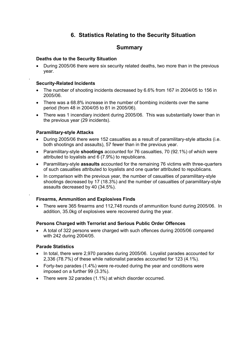# **6. Statistics Relating to the Security Situation**

# **Summary**

### **Deaths due to the Security Situation**

• During 2005/06 there were six security related deaths, two more than in the previous year.

### **Security-Related Incidents**

.

.

- The number of shooting incidents decreased by 6.6% from 167 in 2004/05 to 156 in 2005/06.
- There was a 68.8% increase in the number of bombing incidents over the same period (from 48 in 2004/05 to 81 in 2005/06).
- There was 1 incendiary incident during 2005/06. This was substantially lower than in the previous year (29 incidents).

## **Paramilitary-style Attacks**

- During 2005/06 there were 152 casualties as a result of paramilitary-style attacks (i.e. both shootings and assaults), 57 fewer than in the previous year.
- Paramilitary-style **shootings** accounted for 76 casualties, 70 (92.1%) of which were attributed to loyalists and 6 (7.9%) to republicans.
- Paramilitary-style **assaults** accounted for the remaining 76 victims with three-quarters of such casualties attributed to loyalists and one quarter attributed to republicans.
- In comparison with the previous year, the number of casualties of paramilitary-style shootings decreased by 17 (18.3%) and the number of casualties of paramilitary-style assaults decreased by 40 (34.5%).

## **Firearms, Ammunition and Explosives Finds**

• There were 365 firearms and 112,748 rounds of ammunition found during 2005/06. In addition, 35.0kg of explosives were recovered during the year.

#### **Persons Charged with Terrorist and Serious Public Order Offences**

• A total of 322 persons were charged with such offences during 2005/06 compared with 242 during 2004/05.

#### **Parade Statistics**

- In total, there were 2,970 parades during 2005/06. Loyalist parades accounted for 2,336 (78.7%) of these while nationalist parades accounted for 123 (4.1%).
- Forty-two parades (1.4%) were re-routed during the year and conditions were imposed on a further 99 (3.3%).
- There were 32 parades (1.1%) at which disorder occurred.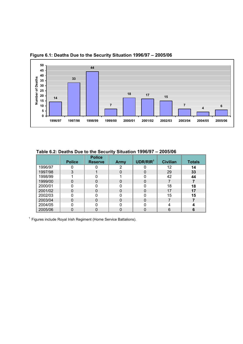

 **Figure 6.1: Deaths Due to the Security Situation 1996/97 – 2005/06**

|         |               | <b>Police</b>  |      |                      |                 |               |
|---------|---------------|----------------|------|----------------------|-----------------|---------------|
|         | <b>Police</b> | <b>Reserve</b> | Army | UDR/RIR <sup>1</sup> | <b>Civilian</b> | <b>Totals</b> |
| 1996/97 |               |                | 2    |                      | 12              | 14            |
| 1997/98 | 3             |                |      | 0                    | 29              | 33            |
| 1998/99 |               |                |      |                      | 42              | 44            |
| 1999/00 | 0             |                |      | 0                    |                 |               |
| 2000/01 |               |                |      |                      | 18              | 18            |
| 2001/02 | 0             |                |      | $\Omega$             | 17              | 17            |
| 2002/03 |               |                |      |                      | 15              | 15            |
| 2003/04 | 0             |                |      | $\Omega$             |                 |               |
| 2004/05 |               |                |      |                      | Δ               |               |
| 2005/06 |               |                |      |                      | 6               |               |

 **Table 6.2: Deaths Due to the Security Situation 1996/97 – 2005/06**

 $1$  Figures include Royal Irish Regiment (Home Service Battalions).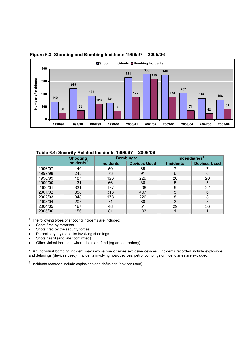

#### **Figure 6.3: Shooting and Bombing Incidents 1996/97 – 2005/06**

| Table bit. Occarity-incluica including Tooolor |                        |                  |                              |                           |                     |
|------------------------------------------------|------------------------|------------------|------------------------------|---------------------------|---------------------|
|                                                | <b>Shooting</b>        |                  | <b>Bombings</b> <sup>2</sup> | Incendiaries <sup>3</sup> |                     |
|                                                | Incidents <sup>1</sup> | <b>Incidents</b> | <b>Devices Used</b>          | <b>Incidents</b>          | <b>Devices Used</b> |
| 1996/97                                        | 140                    | 50               | 65                           |                           |                     |
| 1997/98                                        | 245                    | 73               | 91                           | 6                         | 6                   |
| 1998/99                                        | 187                    | 123              | 229                          | 20                        | 20                  |
| 1999/00                                        | 131                    | 66               | 86                           | 5                         | 5                   |
| 2000/01                                        | 331                    | 177              | 206                          |                           | 22                  |
| 2001/02                                        | 358                    | 318              | 407                          | 5                         | 6                   |
| 2002/03                                        | 348                    | 178              | 226                          |                           | 8                   |
| 2003/04                                        | 207                    | 71               | 80                           | 3                         | 3                   |
| 2004/05                                        | 167                    | 48               | 51                           | 29                        | 36                  |
| 2005/06                                        | 156                    | 81               | 103                          |                           |                     |

#### **Table 6.4: Security-Related Incidents 1996/97 – 2005/06**

 $1$  The following types of shooting incidents are included:

- Shots fired by terrorists
- Shots fired by the security forces
- Paramilitary-style attacks involving shootings
- Shots heard (and later confirmed)
- Other violent incidents where shots are fired (eg armed robbery)

 $2$  An individual bombing incident may involve one or more explosive devices. Incidents recorded include explosions and defusings (devices used). Incidents involving hoax devices, petrol bombings or incendiaries are excluded.

 $3$  Incidents recorded include explosions and defusings (devices used).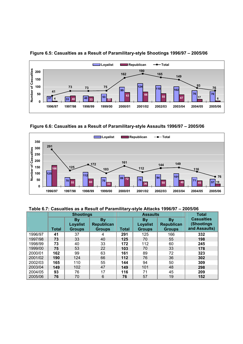

 **Figure 6.5: Casualties as a Result of Paramilitary-style Shootings 1996/97 – 2005/06** 

 **Figure 6.6: Casualties as a Result of Paramilitary-style Assaults 1996/97 – 2005/06** 



**Table 6.7: Casualties as a Result of Paramilitary-style Attacks 1996/97 – 2005/06**

|         | <b>Shootings</b> |                                        | <b>Assaults</b>                                 |       |                                               | <b>Total</b>                                    |                                                  |
|---------|------------------|----------------------------------------|-------------------------------------------------|-------|-----------------------------------------------|-------------------------------------------------|--------------------------------------------------|
|         | <b>Total</b>     | By<br><b>Loyalist</b><br><b>Groups</b> | <b>By</b><br><b>Republican</b><br><b>Groups</b> | Total | <b>By</b><br><b>Loyalist</b><br><b>Groups</b> | <b>By</b><br><b>Republican</b><br><b>Groups</b> | <b>Casualties</b><br>(Shootings<br>and Assaults) |
| 1996/97 | 41               | 37                                     | 4                                               | 291   | 125                                           | 166                                             | 332                                              |
| 1997/98 | 73               | 33                                     | 40                                              | 125   | 70                                            | 55                                              | 198                                              |
| 1998/99 | 73               | 40                                     | 33                                              | 172   | 112                                           | 60                                              | 245                                              |
| 1999/00 | 75               | 53                                     | 22                                              | 103   | 70                                            | 33                                              | 178                                              |
| 2000/01 | 162              | 99                                     | 63                                              | 161   | 89                                            | 72                                              | 323                                              |
| 2001/02 | 190              | 124                                    | 66                                              | 112   | 76                                            | 36                                              | 302                                              |
| 2002/03 | 165              | 110                                    | 55                                              | 144   | 94                                            | 50                                              | 309                                              |
| 2003/04 | 149              | 102                                    | 47                                              | 149   | 101                                           | 48                                              | 298                                              |
| 2004/05 | 93               | 76                                     | 17                                              | 116   | 71                                            | 45                                              | 209                                              |
| 2005/06 | 76               | 70                                     | 6                                               | 76    | 57                                            | 19                                              | 152                                              |